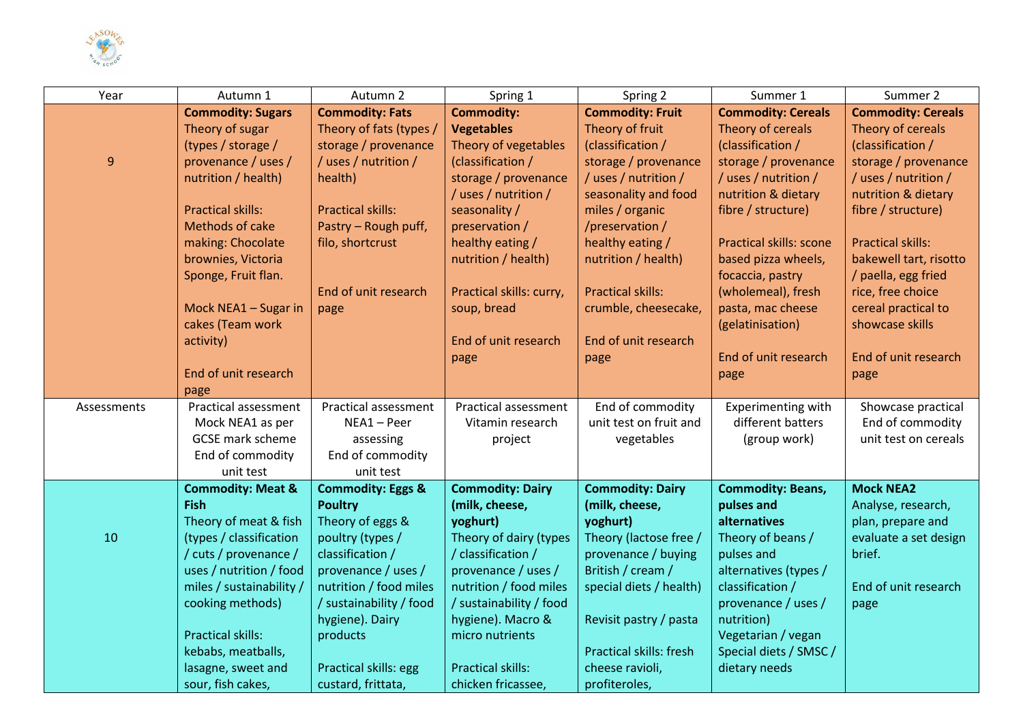

| Year             | Autumn 1                     | Autumn 2                     | Spring 1                 | Spring 2                       | Summer 1                       | Summer 2                  |
|------------------|------------------------------|------------------------------|--------------------------|--------------------------------|--------------------------------|---------------------------|
|                  | <b>Commodity: Sugars</b>     | <b>Commodity: Fats</b>       | <b>Commodity:</b>        | <b>Commodity: Fruit</b>        | <b>Commodity: Cereals</b>      | <b>Commodity: Cereals</b> |
|                  | Theory of sugar              | Theory of fats (types /      | <b>Vegetables</b>        | Theory of fruit                | Theory of cereals              | Theory of cereals         |
|                  | (types / storage /           | storage / provenance         | Theory of vegetables     | (classification /              | (classification /              | (classification /         |
| $\boldsymbol{9}$ | provenance / uses /          | / uses / nutrition /         | (classification /        | storage / provenance           | storage / provenance           | storage / provenance      |
|                  | nutrition / health)          | health)                      | storage / provenance     | / uses / nutrition /           | /uses/nutrition/               | / uses / nutrition /      |
|                  |                              |                              | / uses / nutrition /     | seasonality and food           | nutrition & dietary            | nutrition & dietary       |
|                  | <b>Practical skills:</b>     | <b>Practical skills:</b>     | seasonality /            | miles / organic                | fibre / structure)             | fibre / structure)        |
|                  | Methods of cake              | Pastry - Rough puff,         | preservation /           | /preservation/                 |                                |                           |
|                  | making: Chocolate            | filo, shortcrust             | healthy eating /         | healthy eating /               | <b>Practical skills: scone</b> | <b>Practical skills:</b>  |
|                  | brownies, Victoria           |                              | nutrition / health)      | nutrition / health)            | based pizza wheels,            | bakewell tart, risotto    |
|                  | Sponge, Fruit flan.          |                              |                          |                                | focaccia, pastry               | / paella, egg fried       |
|                  |                              | End of unit research         | Practical skills: curry, | <b>Practical skills:</b>       | (wholemeal), fresh             | rice, free choice         |
|                  | Mock NEA1 - Sugar in         | page                         | soup, bread              | crumble, cheesecake,           | pasta, mac cheese              | cereal practical to       |
|                  | cakes (Team work             |                              |                          |                                | (gelatinisation)               | showcase skills           |
|                  | activity)                    |                              | End of unit research     | End of unit research           |                                |                           |
|                  |                              |                              | page                     | page                           | End of unit research           | End of unit research      |
|                  | End of unit research         |                              |                          |                                | page                           | page                      |
|                  | page                         |                              |                          |                                |                                |                           |
| Assessments      | Practical assessment         | <b>Practical assessment</b>  | Practical assessment     | End of commodity               | Experimenting with             | Showcase practical        |
|                  | Mock NEA1 as per             | NEA1-Peer                    | Vitamin research         | unit test on fruit and         | different batters              | End of commodity          |
|                  | <b>GCSE</b> mark scheme      | assessing                    | project                  | vegetables                     | (group work)                   | unit test on cereals      |
|                  | End of commodity             | End of commodity             |                          |                                |                                |                           |
|                  | unit test                    | unit test                    |                          |                                |                                |                           |
|                  | <b>Commodity: Meat &amp;</b> | <b>Commodity: Eggs &amp;</b> | <b>Commodity: Dairy</b>  | <b>Commodity: Dairy</b>        | <b>Commodity: Beans,</b>       | <b>Mock NEA2</b>          |
|                  | <b>Fish</b>                  | <b>Poultry</b>               | (milk, cheese,           | (milk, cheese,                 | pulses and                     | Analyse, research,        |
|                  | Theory of meat & fish        | Theory of eggs &             | yoghurt)                 | yoghurt)                       | alternatives                   | plan, prepare and         |
| 10               | (types / classification      | poultry (types /             | Theory of dairy (types   | Theory (lactose free /         | Theory of beans /              | evaluate a set design     |
|                  | / cuts / provenance /        | classification /             | / classification /       | provenance / buying            | pulses and                     | brief.                    |
|                  | uses / nutrition / food      | provenance / uses /          | provenance / uses /      | British / cream /              | alternatives (types /          |                           |
|                  | miles / sustainability /     | nutrition / food miles       | nutrition / food miles   | special diets / health)        | classification /               | End of unit research      |
|                  | cooking methods)             | / sustainability / food      | / sustainability / food  |                                | provenance / uses /            | page                      |
|                  |                              | hygiene). Dairy              | hygiene). Macro &        | Revisit pastry / pasta         | nutrition)                     |                           |
|                  | <b>Practical skills:</b>     | products                     | micro nutrients          |                                | Vegetarian / vegan             |                           |
|                  | kebabs, meatballs,           |                              |                          | <b>Practical skills: fresh</b> | Special diets / SMSC /         |                           |
|                  | lasagne, sweet and           | Practical skills: egg        | <b>Practical skills:</b> | cheese ravioli,                | dietary needs                  |                           |
|                  | sour, fish cakes,            | custard, frittata,           | chicken fricassee,       | profiteroles,                  |                                |                           |